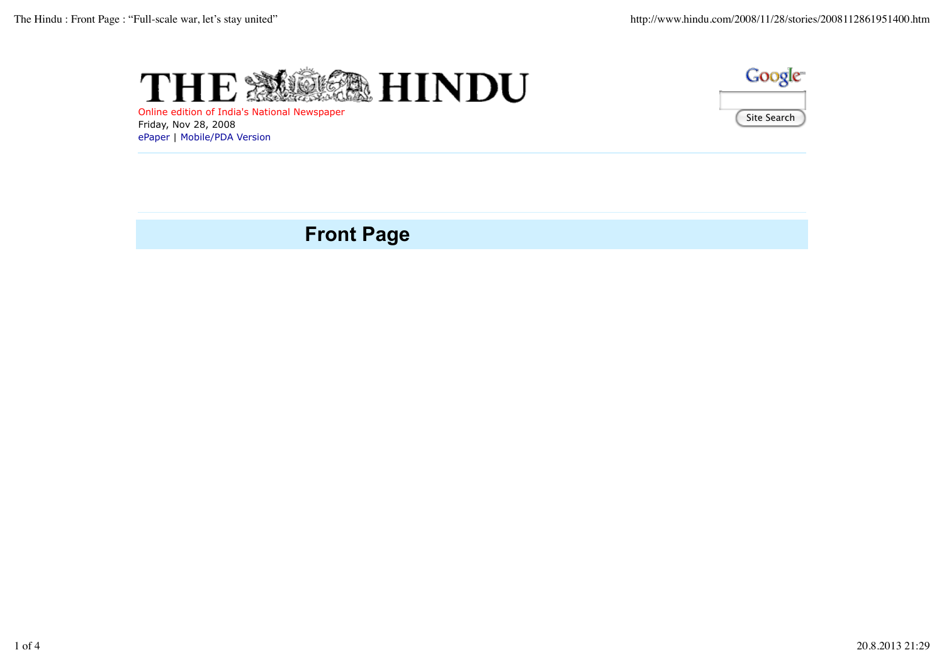



Online edition of India's National Newspaper Friday, Nov 28, 2008 ePaper | Mobile/PDA Version

# **Front Page**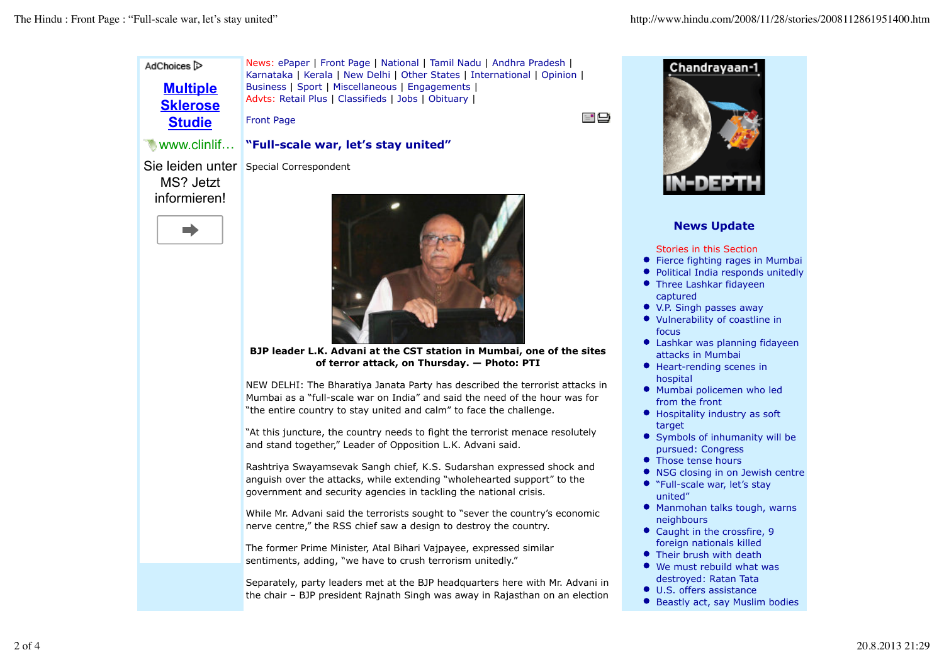News: ePaper | Front Page | National | Tamil Nadu | Andhra Pradesh | AdChoices<sup>1</sup> Karnataka | Kerala | New Delhi | Other States | International | Opinion | **Multiple** Business | Sport | Miscellaneous | Engagements | Advts: Retail Plus | Classifieds | Jobs | Obituary | **Sklerose**

Front Page

## **"Full-scale war, let's stay united"**

Sie leiden unter Special Correspondent

MS? Jetzt informieren!

**Studie**

www.clinlif …





**BJP leader L.K. Advani at the CST station in Mumbai, one of the sites of terror attack, on Thursday. — Photo: PTI**

NEW DELHI: The Bharatiya Janata Party has described the terrorist attacks in Mumbai as a "full-scale war on India" and said the need of the hour was for "the entire country to stay united and calm" to face the challenge.

"At this juncture, the country needs to fight the terrorist menace resolutely and stand together," Leader of Opposition L.K. Advani said.

Rashtriya Swayamsevak Sangh chief, K.S. Sudarshan expressed shock and anguish over the attacks, while extending "wholehearted support" to the government and security agencies in tackling the national crisis.

While Mr. Advani said the terrorists sought to "sever the country's economic nerve centre," the RSS chief saw a design to destroy the country.

The former Prime Minister, Atal Bihari Vajpayee, expressed similar sentiments, adding, "we have to crush terrorism unitedly."

Separately, party leaders met at the BJP headquarters here with Mr. Advani in the chair – BJP president Rajnath Singh was away in Rajasthan on an election



≣"⊟

### **News Update**

Stories in this Section

- Fierce fighting rages in Mumbai
- Political India responds unitedly
- Three Lashkar fidayeen captured
- V.P. Singh passes away
- Vulnerability of coastline in focus
- Lashkar was planning fidayeen attacks in Mumbai
- Heart-rending scenes in hospital
- Mumbai policemen who led from the front
- Hospitality industry as soft target
- Symbols of inhumanity will be pursued: Congress
- Those tense hours
- NSG closing in on Jewish centre
- "Full-scale war, let's stay united"
- Manmohan talks tough, warns neighbours
- Caught in the crossfire, 9 foreign nationals killed
- Their brush with death
- We must rebuild what was destroyed: Ratan Tata
- U.S. offers assistance
- Beastly act, say Muslim bodies